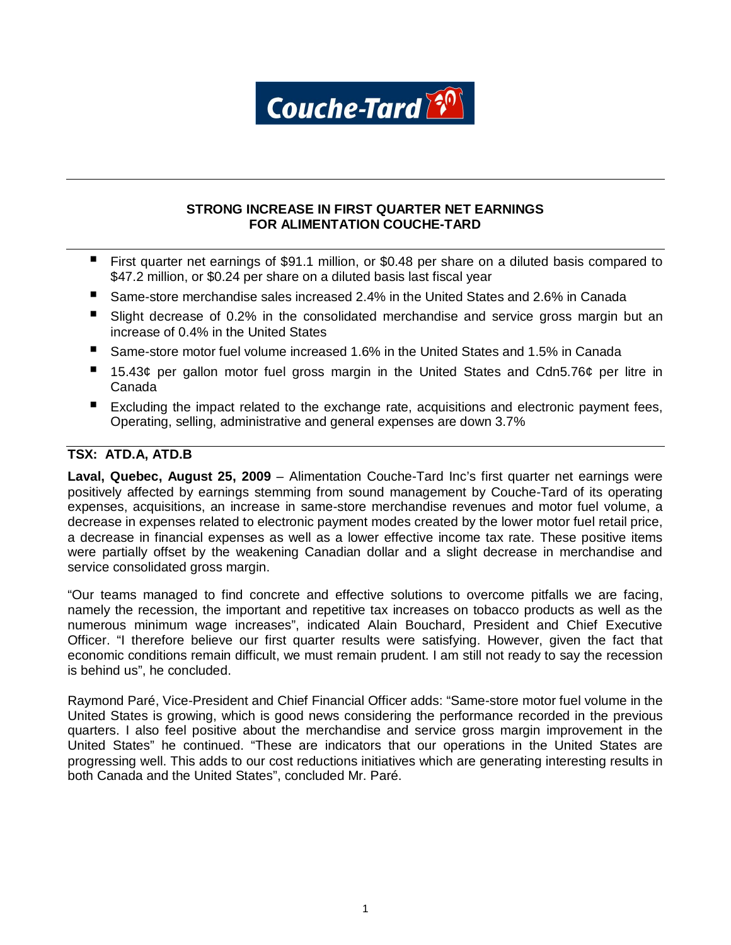

## **STRONG INCREASE IN FIRST QUARTER NET EARNINGS FOR ALIMENTATION COUCHE-TARD**

- First quarter net earnings of \$91.1 million, or \$0.48 per share on a diluted basis compared to \$47.2 million, or \$0.24 per share on a diluted basis last fiscal year
- Same-store merchandise sales increased 2.4% in the United States and 2.6% in Canada
- **Slight decrease of 0.2% in the consolidated merchandise and service gross margin but an** increase of 0.4% in the United States
- Same-store motor fuel volume increased 1.6% in the United States and 1.5% in Canada
- 15.43¢ per gallon motor fuel gross margin in the United States and Cdn5.76¢ per litre in Canada
- Excluding the impact related to the exchange rate, acquisitions and electronic payment fees, Operating, selling, administrative and general expenses are down 3.7%

# **TSX: ATD.A, ATD.B**

**Laval, Quebec, August 25, 2009** – Alimentation Couche-Tard Inc's first quarter net earnings were positively affected by earnings stemming from sound management by Couche-Tard of its operating expenses, acquisitions, an increase in same-store merchandise revenues and motor fuel volume, a decrease in expenses related to electronic payment modes created by the lower motor fuel retail price, a decrease in financial expenses as well as a lower effective income tax rate. These positive items were partially offset by the weakening Canadian dollar and a slight decrease in merchandise and service consolidated gross margin.

"Our teams managed to find concrete and effective solutions to overcome pitfalls we are facing, namely the recession, the important and repetitive tax increases on tobacco products as well as the numerous minimum wage increases", indicated Alain Bouchard, President and Chief Executive Officer. "I therefore believe our first quarter results were satisfying. However, given the fact that economic conditions remain difficult, we must remain prudent. I am still not ready to say the recession is behind us", he concluded.

Raymond Paré, Vice-President and Chief Financial Officer adds: "Same-store motor fuel volume in the United States is growing, which is good news considering the performance recorded in the previous quarters. I also feel positive about the merchandise and service gross margin improvement in the United States" he continued. "These are indicators that our operations in the United States are progressing well. This adds to our cost reductions initiatives which are generating interesting results in both Canada and the United States", concluded Mr. Paré.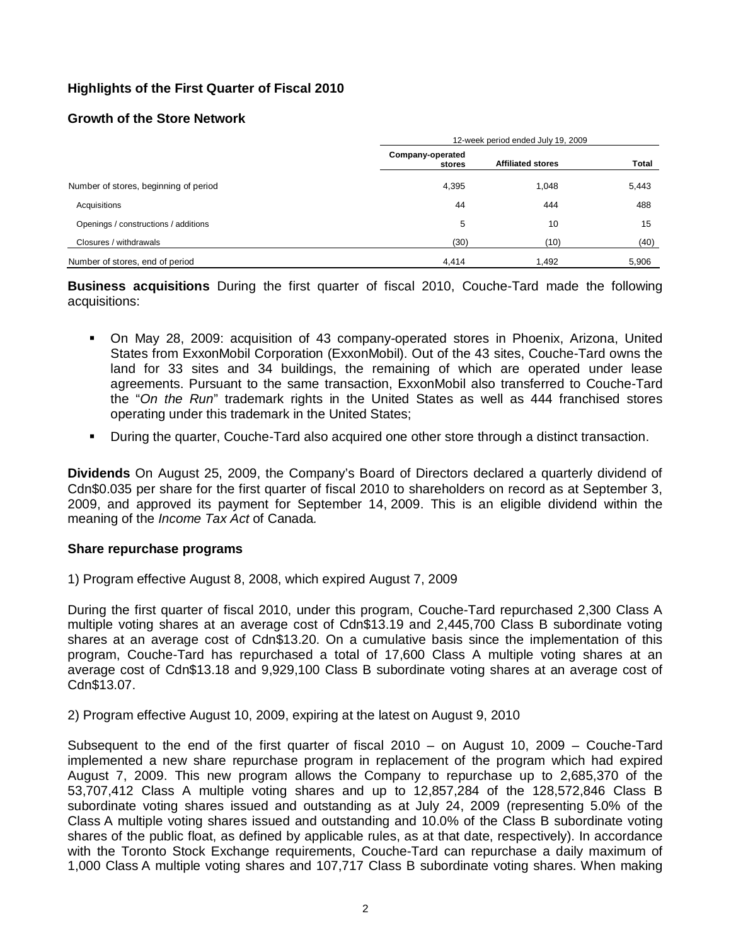# **Highlights of the First Quarter of Fiscal 2010**

## **Growth of the Store Network**

|                                       | 12-week period ended July 19, 2009 |                          |       |  |  |
|---------------------------------------|------------------------------------|--------------------------|-------|--|--|
|                                       | Company-operated<br>stores         | <b>Affiliated stores</b> | Total |  |  |
| Number of stores, beginning of period | 4,395                              | 1,048                    | 5,443 |  |  |
| Acquisitions                          | 44                                 | 444                      | 488   |  |  |
| Openings / constructions / additions  | 5                                  | 10                       | 15    |  |  |
| Closures / withdrawals                | (30)                               | (10)                     | (40)  |  |  |
| Number of stores, end of period       | 4,414                              | 1.492                    | 5,906 |  |  |

**Business acquisitions** During the first quarter of fiscal 2010, Couche-Tard made the following acquisitions:

- On May 28, 2009: acquisition of 43 company-operated stores in Phoenix, Arizona, United States from ExxonMobil Corporation (ExxonMobil). Out of the 43 sites, Couche-Tard owns the land for 33 sites and 34 buildings, the remaining of which are operated under lease agreements. Pursuant to the same transaction, ExxonMobil also transferred to Couche-Tard the "*On the Run*" trademark rights in the United States as well as 444 franchised stores operating under this trademark in the United States;
- During the quarter, Couche-Tard also acquired one other store through a distinct transaction.

**Dividends** On August 25, 2009, the Company's Board of Directors declared a quarterly dividend of Cdn\$0.035 per share for the first quarter of fiscal 2010 to shareholders on record as at September 3, 2009, and approved its payment for September 14, 2009. This is an eligible dividend within the meaning of the *Income Tax Act* of Canada*.*

### **Share repurchase programs**

1) Program effective August 8, 2008, which expired August 7, 2009

During the first quarter of fiscal 2010, under this program, Couche-Tard repurchased 2,300 Class A multiple voting shares at an average cost of Cdn\$13.19 and 2,445,700 Class B subordinate voting shares at an average cost of Cdn\$13.20. On a cumulative basis since the implementation of this program, Couche-Tard has repurchased a total of 17,600 Class A multiple voting shares at an average cost of Cdn\$13.18 and 9,929,100 Class B subordinate voting shares at an average cost of Cdn\$13.07.

2) Program effective August 10, 2009, expiring at the latest on August 9, 2010

Subsequent to the end of the first quarter of fiscal 2010 – on August 10, 2009 – Couche-Tard implemented a new share repurchase program in replacement of the program which had expired August 7, 2009. This new program allows the Company to repurchase up to 2,685,370 of the 53,707,412 Class A multiple voting shares and up to 12,857,284 of the 128,572,846 Class B subordinate voting shares issued and outstanding as at July 24, 2009 (representing 5.0% of the Class A multiple voting shares issued and outstanding and 10.0% of the Class B subordinate voting shares of the public float, as defined by applicable rules, as at that date, respectively). In accordance with the Toronto Stock Exchange requirements, Couche-Tard can repurchase a daily maximum of 1,000 Class A multiple voting shares and 107,717 Class B subordinate voting shares. When making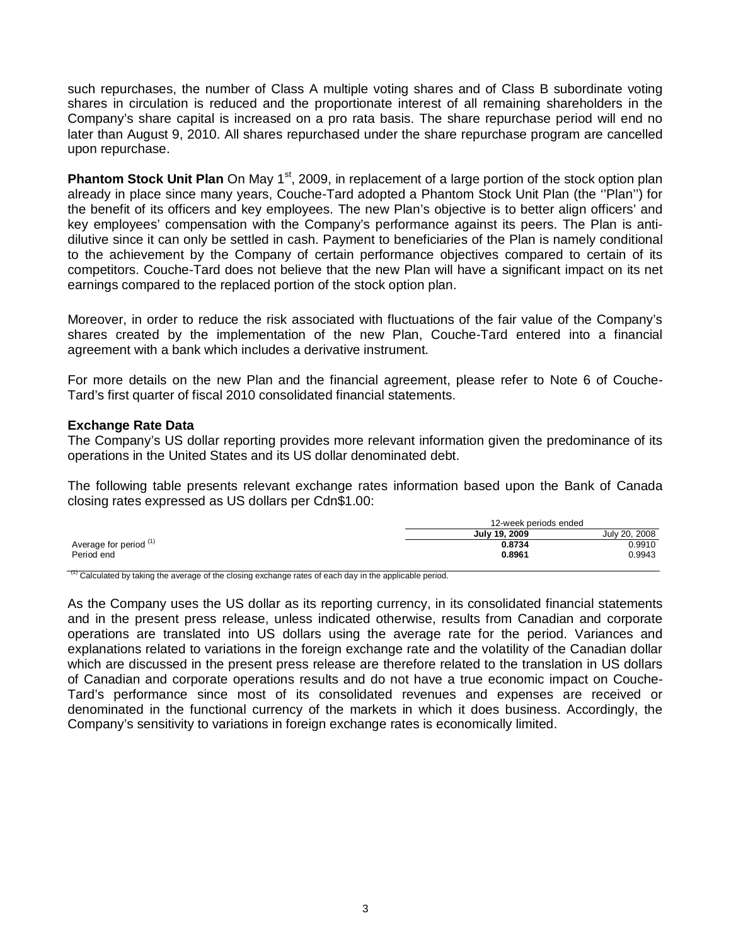such repurchases, the number of Class A multiple voting shares and of Class B subordinate voting shares in circulation is reduced and the proportionate interest of all remaining shareholders in the Company's share capital is increased on a pro rata basis. The share repurchase period will end no later than August 9, 2010. All shares repurchased under the share repurchase program are cancelled upon repurchase.

**Phantom Stock Unit Plan** On May 1<sup>st</sup>, 2009, in replacement of a large portion of the stock option plan already in place since many years, Couche-Tard adopted a Phantom Stock Unit Plan (the ''Plan'') for the benefit of its officers and key employees. The new Plan's objective is to better align officers' and key employees' compensation with the Company's performance against its peers. The Plan is antidilutive since it can only be settled in cash. Payment to beneficiaries of the Plan is namely conditional to the achievement by the Company of certain performance objectives compared to certain of its competitors. Couche-Tard does not believe that the new Plan will have a significant impact on its net earnings compared to the replaced portion of the stock option plan.

Moreover, in order to reduce the risk associated with fluctuations of the fair value of the Company's shares created by the implementation of the new Plan, Couche-Tard entered into a financial agreement with a bank which includes a derivative instrument.

For more details on the new Plan and the financial agreement, please refer to Note 6 of Couche-Tard's first quarter of fiscal 2010 consolidated financial statements.

### **Exchange Rate Data**

The Company's US dollar reporting provides more relevant information given the predominance of its operations in the United States and its US dollar denominated debt.

The following table presents relevant exchange rates information based upon the Bank of Canada closing rates expressed as US dollars per Cdn\$1.00:

|                        | 12-week periods ended |               |
|------------------------|-----------------------|---------------|
|                        | July 19, 2009         | July 20, 2008 |
| Average for period (1) | 0.8734                | 0.9910        |
| Period end             | 0.8961                | 0.9943        |
|                        |                       |               |

<sup>(1)</sup> Calculated by taking the average of the closing exchange rates of each day in the applicable period.

As the Company uses the US dollar as its reporting currency, in its consolidated financial statements and in the present press release, unless indicated otherwise, results from Canadian and corporate operations are translated into US dollars using the average rate for the period. Variances and explanations related to variations in the foreign exchange rate and the volatility of the Canadian dollar which are discussed in the present press release are therefore related to the translation in US dollars of Canadian and corporate operations results and do not have a true economic impact on Couche-Tard's performance since most of its consolidated revenues and expenses are received or denominated in the functional currency of the markets in which it does business. Accordingly, the Company's sensitivity to variations in foreign exchange rates is economically limited.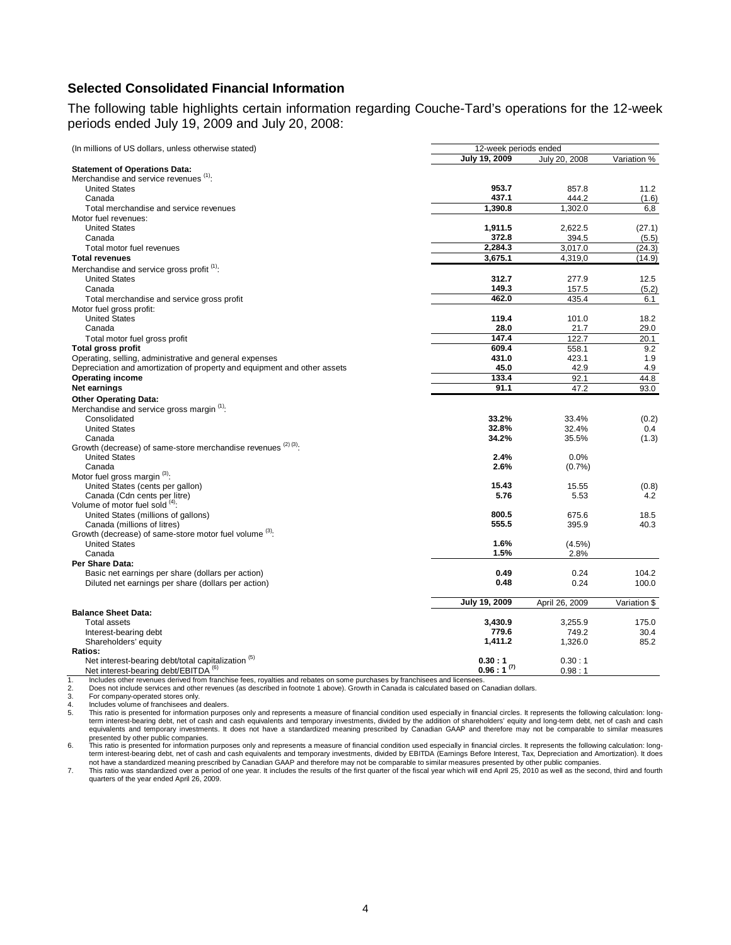## **Selected Consolidated Financial Information**

The following table highlights certain information regarding Couche-Tard's operations for the 12-week periods ended July 19, 2009 and July 20, 2008:

| (In millions of US dollars, unless otherwise stated)                     | 12-week periods ended |                |              |
|--------------------------------------------------------------------------|-----------------------|----------------|--------------|
|                                                                          | July 19, 2009         | July 20, 2008  | Variation %  |
| <b>Statement of Operations Data:</b>                                     |                       |                |              |
| Merchandise and service revenues (1):                                    |                       |                |              |
| <b>United States</b>                                                     | 953.7                 | 857.8          | 11.2         |
| Canada                                                                   | 437.1                 | 444.2          | (1.6)        |
| Total merchandise and service revenues                                   | 1,390.8               | 1,302.0        | 6,8          |
| Motor fuel revenues:                                                     |                       |                |              |
| <b>United States</b>                                                     | 1,911.5               | 2,622.5        | (27.1)       |
| Canada                                                                   | 372.8                 | 394.5          | (5.5)        |
| Total motor fuel revenues                                                | 2,284.3               | 3,017.0        | (24.3)       |
| <b>Total revenues</b>                                                    | 3,675.1               | 4,319,0        | (14.9)       |
| Merchandise and service gross profit (1):                                |                       |                |              |
| <b>United States</b>                                                     | 312.7                 | 277.9          | 12.5         |
| Canada                                                                   | 149.3                 | 157.5          | (5,2)        |
| Total merchandise and service gross profit                               | 462.0                 | 435.4          | 6.1          |
| Motor fuel gross profit:                                                 |                       |                |              |
| <b>United States</b>                                                     | 119.4                 | 101.0          | 18.2         |
| Canada                                                                   | 28.0                  | 21.7           | 29.0         |
| Total motor fuel gross profit                                            | 147.4                 | 122.7          | 20.1         |
| <b>Total gross profit</b>                                                | 609.4                 | 558.1          | 9.2          |
| Operating, selling, administrative and general expenses                  | 431.0                 | 423.1          | 1.9          |
| Depreciation and amortization of property and equipment and other assets | 45.0                  | 42.9           | 4.9          |
| <b>Operating income</b>                                                  | 133.4                 | 92.1           | 44.8         |
| <b>Net earnings</b>                                                      | 91.1                  | 47.2           | 93.0         |
| <b>Other Operating Data:</b>                                             |                       |                |              |
| Merchandise and service gross margin (1):                                |                       |                |              |
| Consolidated                                                             | 33.2%                 | 33.4%          | (0.2)        |
| <b>United States</b>                                                     | 32.8%                 | 32.4%          | 0.4          |
| Canada                                                                   | 34.2%                 | 35.5%          | (1.3)        |
| Growth (decrease) of same-store merchandise revenues (2)(3).             |                       |                |              |
| <b>United States</b>                                                     | 2.4%                  | 0.0%           |              |
| Canada                                                                   | 2.6%                  | (0.7%          |              |
| Motor fuel gross margin (3):                                             |                       |                |              |
| United States (cents per gallon)                                         | 15.43                 | 15.55          | (0.8)        |
| Canada (Cdn cents per litre)                                             | 5.76                  | 5.53           | 4.2          |
| Volume of motor fuel sold (4).                                           |                       |                |              |
| United States (millions of gallons)                                      | 800.5                 | 675.6          | 18.5         |
| Canada (millions of litres)                                              | 555.5                 | 395.9          | 40.3         |
| Growth (decrease) of same-store motor fuel volume (3):                   |                       |                |              |
| <b>United States</b>                                                     | 1.6%                  | $(4.5\%)$      |              |
| Canada                                                                   | 1.5%                  | 2.8%           |              |
| Per Share Data:                                                          |                       |                |              |
| Basic net earnings per share (dollars per action)                        | 0.49                  | 0.24           | 104.2        |
| Diluted net earnings per share (dollars per action)                      | 0.48                  | 0.24           | 100.0        |
|                                                                          |                       |                |              |
|                                                                          | July 19, 2009         | April 26, 2009 | Variation \$ |
| <b>Balance Sheet Data:</b>                                               |                       |                |              |
| <b>Total assets</b>                                                      | 3,430.9               | 3,255.9        | 175.0        |
| Interest-bearing debt                                                    | 779.6                 | 749.2          | 30.4         |
| Shareholders' equity                                                     | 1,411.2               | 1,326.0        | 85.2         |
| Ratios:<br>Net interest-bearing debt/total capitalization <sup>(5)</sup> | 0.30:1                | 0.30:1         |              |
| Net interest-bearing debt/EBITDA <sup>(6)</sup>                          | $0.96:1^{(7)}$        | 0.98:1         |              |
|                                                                          |                       |                |              |

1. Includes other revenues derived from franchise fees, royalties and rebates on some purchases by franchisees and licensees<br>
2. Does not include services and other revenues (as described in footnote 1 above). Growth in Ca

2. Does not include services and other revenues (as described in footnote 1 above). Growth in Canada is calculated based on Canadian dollars.

3. For company-operated stores only.<br>4. Includes volume of franchisees and<br>5. This ratio is presented for information

Includes volume of franchisees and dealers.<br>This ratio is presented for information purposes only and represents a measure of financial condition used especially in financial circles. It represents the following calculatio 5. This ratio is presented for information purposes only and represents a measure of financial condition used especially in financial circles. It represents the following calculation: long-<br>term interest-bearing debt, net

6. This ratio is presented for information purposes only and represents a measure of financial condition used especially in financial circles. It represents the following calculation: long-<br>term interest-bearing debt, net

7. This ratio was standardized over a period of one year. It includes the results of the first quarter of the fiscal year which will end April 25, 2010 as well as the second, third and fourth<br>quarters of the year ended Apr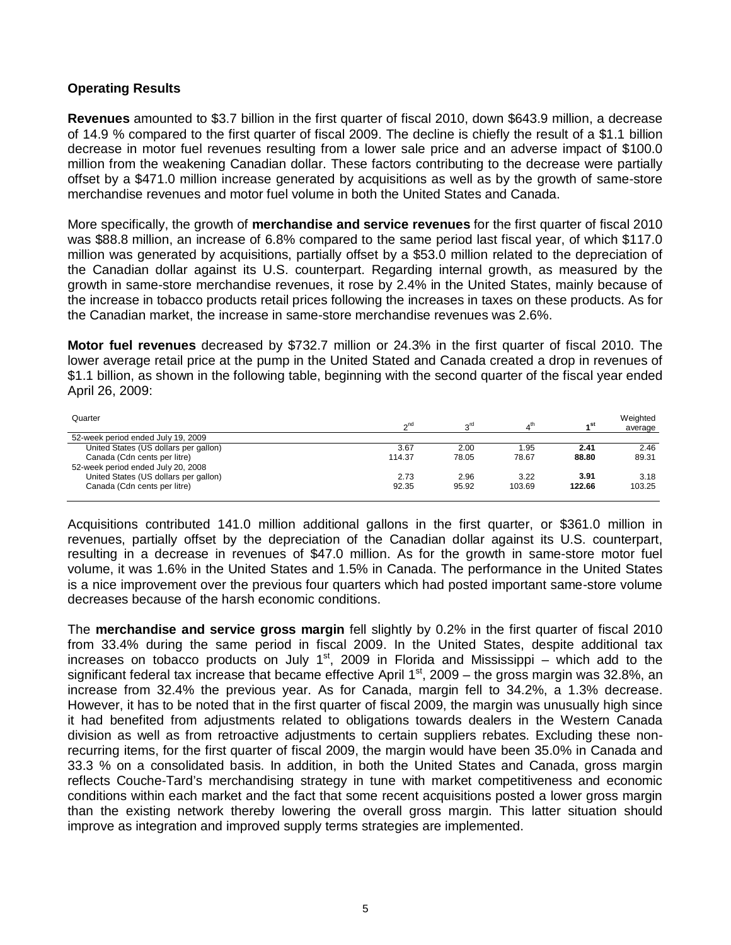## **Operating Results**

**Revenues** amounted to \$3.7 billion in the first quarter of fiscal 2010, down \$643.9 million, a decrease of 14.9 % compared to the first quarter of fiscal 2009. The decline is chiefly the result of a \$1.1 billion decrease in motor fuel revenues resulting from a lower sale price and an adverse impact of \$100.0 million from the weakening Canadian dollar. These factors contributing to the decrease were partially offset by a \$471.0 million increase generated by acquisitions as well as by the growth of same-store merchandise revenues and motor fuel volume in both the United States and Canada.

More specifically, the growth of **merchandise and service revenues** for the first quarter of fiscal 2010 was \$88.8 million, an increase of 6.8% compared to the same period last fiscal year, of which \$117.0 million was generated by acquisitions, partially offset by a \$53.0 million related to the depreciation of the Canadian dollar against its U.S. counterpart. Regarding internal growth, as measured by the growth in same-store merchandise revenues, it rose by 2.4% in the United States, mainly because of the increase in tobacco products retail prices following the increases in taxes on these products. As for the Canadian market, the increase in same-store merchandise revenues was 2.6%.

**Motor fuel revenues** decreased by \$732.7 million or 24.3% in the first quarter of fiscal 2010. The lower average retail price at the pump in the United Stated and Canada created a drop in revenues of \$1.1 billion, as shown in the following table, beginning with the second quarter of the fiscal year ended April 26, 2009:

| Quarter                               | n <sup>nc</sup> | <sub>o</sub> rd |        | ⊿ St   | Weighted<br>average |
|---------------------------------------|-----------------|-----------------|--------|--------|---------------------|
| 52-week period ended July 19, 2009    |                 |                 |        |        |                     |
| United States (US dollars per gallon) | 3.67            | 2.00            | 1.95   | 2.41   | 2.46                |
| Canada (Cdn cents per litre)          | 114.37          | 78.05           | 78.67  | 88.80  | 89.31               |
| 52-week period ended July 20, 2008    |                 |                 |        |        |                     |
| United States (US dollars per gallon) | 2.73            | 2.96            | 3.22   | 3.91   | 3.18                |
| Canada (Cdn cents per litre)          | 92.35           | 95.92           | 103.69 | 122.66 | 103.25              |

Acquisitions contributed 141.0 million additional gallons in the first quarter, or \$361.0 million in revenues, partially offset by the depreciation of the Canadian dollar against its U.S. counterpart, resulting in a decrease in revenues of \$47.0 million. As for the growth in same-store motor fuel volume, it was 1.6% in the United States and 1.5% in Canada. The performance in the United States is a nice improvement over the previous four quarters which had posted important same-store volume decreases because of the harsh economic conditions.

The **merchandise and service gross margin** fell slightly by 0.2% in the first quarter of fiscal 2010 from 33.4% during the same period in fiscal 2009. In the United States, despite additional tax increases on tobacco products on July  $1<sup>st</sup>$ , 2009 in Florida and Mississippi – which add to the significant federal tax increase that became effective April  $1<sup>st</sup>$ , 2009 – the gross margin was 32.8%, an increase from 32.4% the previous year. As for Canada, margin fell to 34.2%, a 1.3% decrease. However, it has to be noted that in the first quarter of fiscal 2009, the margin was unusually high since it had benefited from adjustments related to obligations towards dealers in the Western Canada division as well as from retroactive adjustments to certain suppliers rebates. Excluding these nonrecurring items, for the first quarter of fiscal 2009, the margin would have been 35.0% in Canada and 33.3 % on a consolidated basis. In addition, in both the United States and Canada, gross margin reflects Couche-Tard's merchandising strategy in tune with market competitiveness and economic conditions within each market and the fact that some recent acquisitions posted a lower gross margin than the existing network thereby lowering the overall gross margin. This latter situation should improve as integration and improved supply terms strategies are implemented.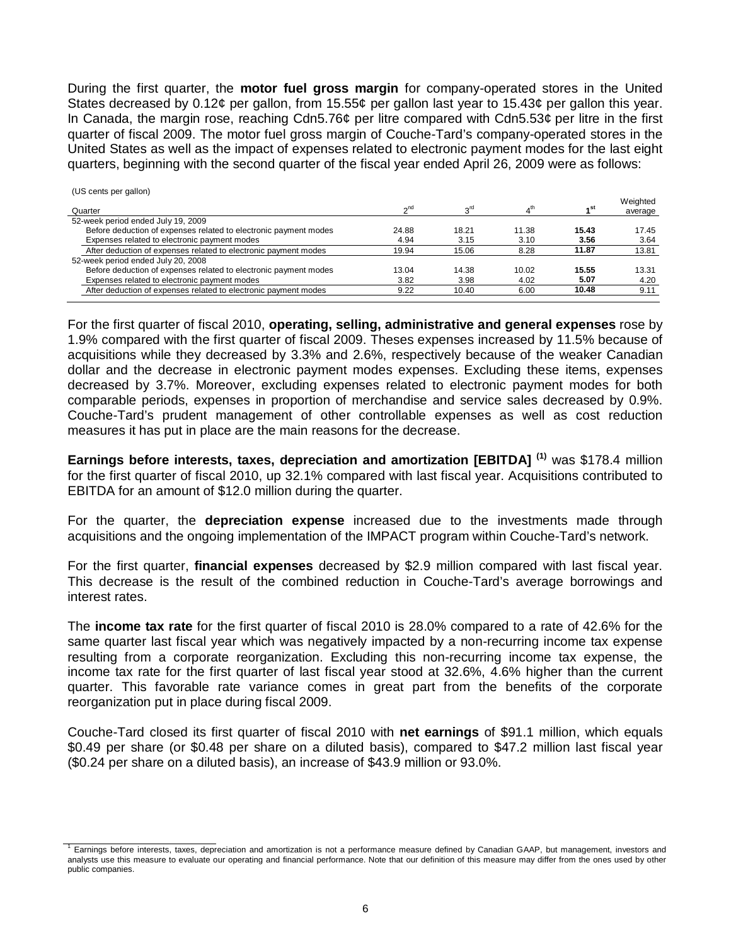During the first quarter, the **motor fuel gross margin** for company-operated stores in the United States decreased by 0.12¢ per gallon, from 15.55¢ per gallon last year to 15.43¢ per gallon this year. In Canada, the margin rose, reaching Cdn5.76¢ per litre compared with Cdn5.53¢ per litre in the first quarter of fiscal 2009. The motor fuel gross margin of Couche-Tard's company-operated stores in the United States as well as the impact of expenses related to electronic payment modes for the last eight quarters, beginning with the second quarter of the fiscal year ended April 26, 2009 were as follows:

| (US cents per gallon)                                            |                 |                 |                 |                 | Weighted |
|------------------------------------------------------------------|-----------------|-----------------|-----------------|-----------------|----------|
| Quarter                                                          | n <sup>nc</sup> | <sub>o</sub> rd | 4 <sup>th</sup> | 4 <sup>st</sup> | average  |
| 52-week period ended July 19, 2009                               |                 |                 |                 |                 |          |
| Before deduction of expenses related to electronic payment modes | 24.88           | 18.21           | 11.38           | 15.43           | 17.45    |
| Expenses related to electronic payment modes                     | 4.94            | 3.15            | 3.10            | 3.56            | 3.64     |
| After deduction of expenses related to electronic payment modes  | 19.94           | 15.06           | 8.28            | 11.87           | 13.81    |
| 52-week period ended July 20, 2008                               |                 |                 |                 |                 |          |
| Before deduction of expenses related to electronic payment modes | 13.04           | 14.38           | 10.02           | 15.55           | 13.31    |
| Expenses related to electronic payment modes                     | 3.82            | 3.98            | 4.02            | 5.07            | 4.20     |
| After deduction of expenses related to electronic payment modes  | 9.22            | 10.40           | 6.00            | 10.48           | 9.11     |

For the first quarter of fiscal 2010, **operating, selling, administrative and general expenses** rose by 1.9% compared with the first quarter of fiscal 2009. Theses expenses increased by 11.5% because of acquisitions while they decreased by 3.3% and 2.6%, respectively because of the weaker Canadian dollar and the decrease in electronic payment modes expenses. Excluding these items, expenses decreased by 3.7%. Moreover, excluding expenses related to electronic payment modes for both comparable periods, expenses in proportion of merchandise and service sales decreased by 0.9%. Couche-Tard's prudent management of other controllable expenses as well as cost reduction measures it has put in place are the main reasons for the decrease.

**Earnings before interests, taxes, depreciation and amortization [EBITDA] (1)** was \$178.4 million for the first quarter of fiscal 2010, up 32.1% compared with last fiscal year. Acquisitions contributed to EBITDA for an amount of \$12.0 million during the quarter.

For the quarter, the **depreciation expense** increased due to the investments made through acquisitions and the ongoing implementation of the IMPACT program within Couche-Tard's network.

For the first quarter, **financial expenses** decreased by \$2.9 million compared with last fiscal year. This decrease is the result of the combined reduction in Couche-Tard's average borrowings and interest rates.

The **income tax rate** for the first quarter of fiscal 2010 is 28.0% compared to a rate of 42.6% for the same quarter last fiscal year which was negatively impacted by a non-recurring income tax expense resulting from a corporate reorganization. Excluding this non-recurring income tax expense, the income tax rate for the first quarter of last fiscal year stood at 32.6%, 4.6% higher than the current quarter. This favorable rate variance comes in great part from the benefits of the corporate reorganization put in place during fiscal 2009.

Couche-Tard closed its first quarter of fiscal 2010 with **net earnings** of \$91.1 million, which equals \$0.49 per share (or \$0.48 per share on a diluted basis), compared to \$47.2 million last fiscal year (\$0.24 per share on a diluted basis), an increase of \$43.9 million or 93.0%.

<sup>1</sup> Earnings before interests, taxes, depreciation and amortization is not a performance measure defined by Canadian GAAP, but management, investors and analysts use this measure to evaluate our operating and financial performance. Note that our definition of this measure may differ from the ones used by other public companies.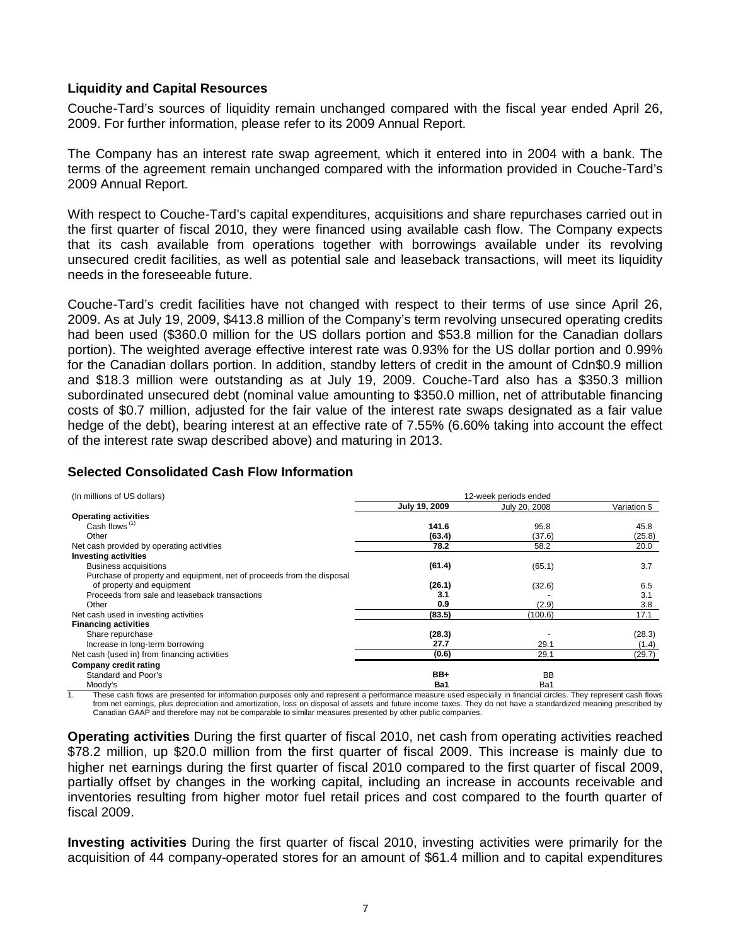## **Liquidity and Capital Resources**

Couche-Tard's sources of liquidity remain unchanged compared with the fiscal year ended April 26, 2009. For further information, please refer to its 2009 Annual Report.

The Company has an interest rate swap agreement, which it entered into in 2004 with a bank. The terms of the agreement remain unchanged compared with the information provided in Couche-Tard's 2009 Annual Report.

With respect to Couche-Tard's capital expenditures, acquisitions and share repurchases carried out in the first quarter of fiscal 2010, they were financed using available cash flow. The Company expects that its cash available from operations together with borrowings available under its revolving unsecured credit facilities, as well as potential sale and leaseback transactions, will meet its liquidity needs in the foreseeable future.

Couche-Tard's credit facilities have not changed with respect to their terms of use since April 26, 2009. As at July 19, 2009, \$413.8 million of the Company's term revolving unsecured operating credits had been used (\$360.0 million for the US dollars portion and \$53.8 million for the Canadian dollars portion). The weighted average effective interest rate was 0.93% for the US dollar portion and 0.99% for the Canadian dollars portion. In addition, standby letters of credit in the amount of Cdn\$0.9 million and \$18.3 million were outstanding as at July 19, 2009. Couche-Tard also has a \$350.3 million subordinated unsecured debt (nominal value amounting to \$350.0 million, net of attributable financing costs of \$0.7 million, adjusted for the fair value of the interest rate swaps designated as a fair value hedge of the debt), bearing interest at an effective rate of 7.55% (6.60% taking into account the effect of the interest rate swap described above) and maturing in 2013.

## **Selected Consolidated Cash Flow Information**

| (In millions of US dollars)                                           | 12-week periods ended |               |              |  |
|-----------------------------------------------------------------------|-----------------------|---------------|--------------|--|
|                                                                       | July 19, 2009         | July 20, 2008 | Variation \$ |  |
| <b>Operating activities</b>                                           |                       |               |              |  |
| Cash flows $(1)$                                                      | 141.6                 | 95.8          | 45.8         |  |
| Other                                                                 | (63.4)                | (37.6)        | (25.8)       |  |
| Net cash provided by operating activities                             | 78.2                  | 58.2          | 20.0         |  |
| <b>Investing activities</b>                                           |                       |               |              |  |
| <b>Business acquisitions</b>                                          | (61.4)                | (65.1)        | 3.7          |  |
| Purchase of property and equipment, net of proceeds from the disposal |                       |               |              |  |
| of property and equipment                                             | (26.1)                | (32.6)        | 6.5          |  |
| Proceeds from sale and leaseback transactions                         | 3.1                   |               | 3.1          |  |
| Other                                                                 | 0.9                   | (2.9)         | 3.8          |  |
| Net cash used in investing activities                                 | (83.5)                | (100.6)       | 17.1         |  |
| <b>Financing activities</b>                                           |                       |               |              |  |
| Share repurchase                                                      | (28.3)                |               | (28.3)       |  |
| Increase in long-term borrowing                                       | 27.7                  | 29.1          | (1.4)        |  |
| Net cash (used in) from financing activities                          | (0.6)                 | 29.1          | (29.7)       |  |
| Company credit rating                                                 |                       |               |              |  |
| Standard and Poor's                                                   | BB+                   | <b>BB</b>     |              |  |
| Moody's                                                               | Ba1                   | Ba1           |              |  |

1. These cash flows are presented for information purposes only and represent a performance measure used especially in financial circles. They represent cash flows<br>from net earnings, plus depreciation and amortization, los Canadian GAAP and therefore may not be comparable to similar measures presented by other public companies.

**Operating activities** During the first quarter of fiscal 2010, net cash from operating activities reached \$78.2 million, up \$20.0 million from the first quarter of fiscal 2009. This increase is mainly due to higher net earnings during the first quarter of fiscal 2010 compared to the first quarter of fiscal 2009, partially offset by changes in the working capital, including an increase in accounts receivable and inventories resulting from higher motor fuel retail prices and cost compared to the fourth quarter of fiscal 2009.

**Investing activities** During the first quarter of fiscal 2010, investing activities were primarily for the acquisition of 44 company-operated stores for an amount of \$61.4 million and to capital expenditures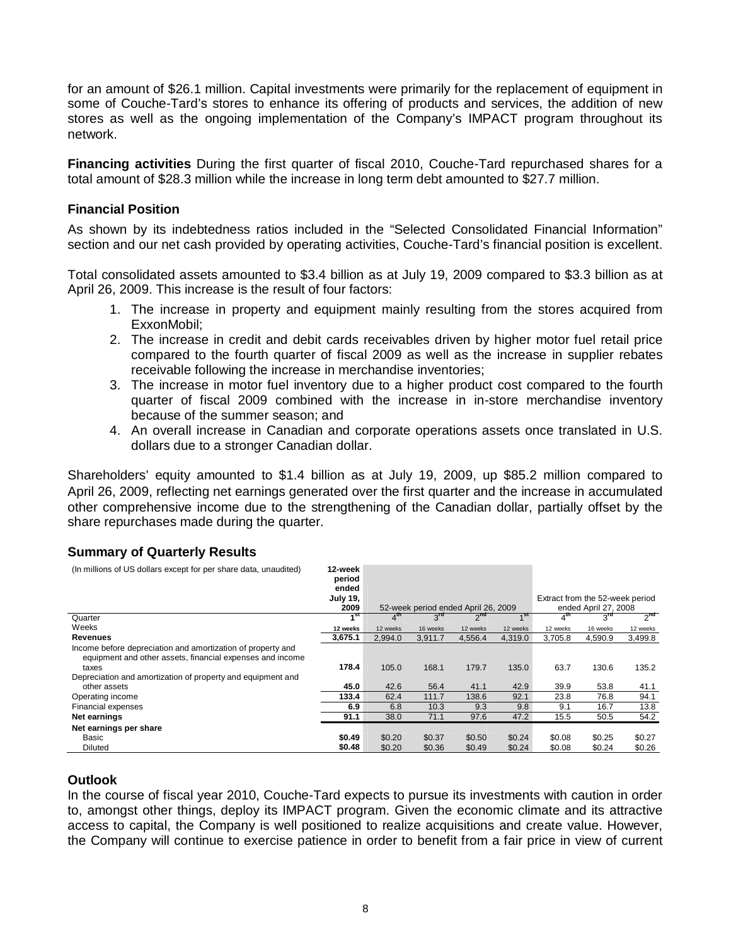for an amount of \$26.1 million. Capital investments were primarily for the replacement of equipment in some of Couche-Tard's stores to enhance its offering of products and services, the addition of new stores as well as the ongoing implementation of the Company's IMPACT program throughout its network.

**Financing activities** During the first quarter of fiscal 2010, Couche-Tard repurchased shares for a total amount of \$28.3 million while the increase in long term debt amounted to \$27.7 million.

## **Financial Position**

As shown by its indebtedness ratios included in the "Selected Consolidated Financial Information" section and our net cash provided by operating activities, Couche-Tard's financial position is excellent.

Total consolidated assets amounted to \$3.4 billion as at July 19, 2009 compared to \$3.3 billion as at April 26, 2009. This increase is the result of four factors:

- 1. The increase in property and equipment mainly resulting from the stores acquired from ExxonMobil;
- 2. The increase in credit and debit cards receivables driven by higher motor fuel retail price compared to the fourth quarter of fiscal 2009 as well as the increase in supplier rebates receivable following the increase in merchandise inventories;
- 3. The increase in motor fuel inventory due to a higher product cost compared to the fourth quarter of fiscal 2009 combined with the increase in in-store merchandise inventory because of the summer season; and
- 4. An overall increase in Canadian and corporate operations assets once translated in U.S. dollars due to a stronger Canadian dollar.

Shareholders' equity amounted to \$1.4 billion as at July 19, 2009, up \$85.2 million compared to April 26, 2009, reflecting net earnings generated over the first quarter and the increase in accumulated other comprehensive income due to the strengthening of the Canadian dollar, partially offset by the share repurchases made during the quarter.

## **Summary of Quarterly Results**

| (In millions of US dollars except for per share data, unaudited)                                                                                                                                 | 12-week<br>period<br>ended<br><b>July 19,</b><br>2009 |                |                 | 52-week period ended April 26, 2009 |                 | Extract from the 52-week period | ended April 27, 2008 |          |
|--------------------------------------------------------------------------------------------------------------------------------------------------------------------------------------------------|-------------------------------------------------------|----------------|-----------------|-------------------------------------|-----------------|---------------------------------|----------------------|----------|
| Quarter                                                                                                                                                                                          | 4st                                                   | $4^{\text{m}}$ | $3^{\text{rd}}$ | $2^{na}$                            | 4 <sup>St</sup> | $4^{\rm m}$                     | $3^{\mathsf{rd}}$    | $2^{na}$ |
| Weeks                                                                                                                                                                                            | 12 weeks                                              | 12 weeks       | 16 weeks        | 12 weeks                            | 12 weeks        | 12 weeks                        | 16 weeks             | 12 weeks |
| Revenues                                                                                                                                                                                         | 3,675.1                                               | 2.994.0        | 3,911.7         | 4,556.4                             | 4.319.0         | 3,705.8                         | 4,590.9              | 3,499.8  |
| Income before depreciation and amortization of property and<br>equipment and other assets, financial expenses and income<br>taxes<br>Depreciation and amortization of property and equipment and | 178.4                                                 | 105.0          | 168.1           | 179.7                               | 135.0           | 63.7                            | 130.6                | 135.2    |
| other assets                                                                                                                                                                                     | 45.0                                                  | 42.6           | 56.4            | 41.1                                | 42.9            | 39.9                            | 53.8                 | 41.1     |
| Operating income                                                                                                                                                                                 | 133.4                                                 | 62.4           | 111.7           | 138.6                               | 92.1            | 23.8                            | 76.8                 | 94.1     |
| Financial expenses                                                                                                                                                                               | 6.9                                                   | 6.8            | 10.3            | 9.3                                 | 9.8             | 9.1                             | 16.7                 | 13.8     |
| Net earnings                                                                                                                                                                                     | 91.1                                                  | 38.0           | 71.1            | 97.6                                | 47.2            | 15.5                            | 50.5                 | 54.2     |
| Net earnings per share                                                                                                                                                                           |                                                       |                |                 |                                     |                 |                                 |                      |          |
| Basic                                                                                                                                                                                            | \$0.49                                                | \$0.20         | \$0.37          | \$0.50                              | \$0.24          | \$0.08                          | \$0.25               | \$0.27   |
| <b>Diluted</b>                                                                                                                                                                                   | \$0.48                                                | \$0.20         | \$0.36          | \$0.49                              | \$0.24          | \$0.08                          | \$0.24               | \$0.26   |

## **Outlook**

In the course of fiscal year 2010, Couche-Tard expects to pursue its investments with caution in order to, amongst other things, deploy its IMPACT program. Given the economic climate and its attractive access to capital, the Company is well positioned to realize acquisitions and create value. However, the Company will continue to exercise patience in order to benefit from a fair price in view of current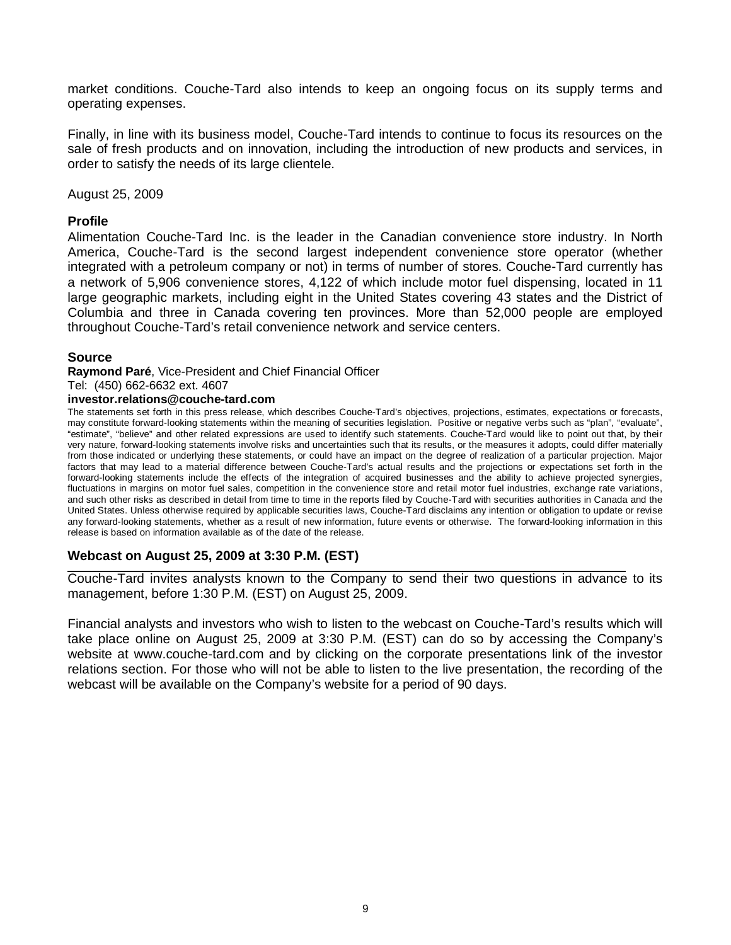market conditions. Couche-Tard also intends to keep an ongoing focus on its supply terms and operating expenses.

Finally, in line with its business model, Couche-Tard intends to continue to focus its resources on the sale of fresh products and on innovation, including the introduction of new products and services, in order to satisfy the needs of its large clientele.

August 25, 2009

### **Profile**

Alimentation Couche-Tard Inc. is the leader in the Canadian convenience store industry. In North America, Couche-Tard is the second largest independent convenience store operator (whether integrated with a petroleum company or not) in terms of number of stores. Couche-Tard currently has a network of 5,906 convenience stores, 4,122 of which include motor fuel dispensing, located in 11 large geographic markets, including eight in the United States covering 43 states and the District of Columbia and three in Canada covering ten provinces. More than 52,000 people are employed throughout Couche-Tard's retail convenience network and service centers.

### **Source**

**Raymond Paré**, Vice-President and Chief Financial Officer

Tel: (450) 662-6632 ext. 4607

### **investor.relations@couche-tard.com**

The statements set forth in this press release, which describes Couche-Tard's objectives, projections, estimates, expectations or forecasts, may constitute forward-looking statements within the meaning of securities legislation. Positive or negative verbs such as "plan", "evaluate", "estimate", "believe" and other related expressions are used to identify such statements. Couche-Tard would like to point out that, by their very nature, forward-looking statements involve risks and uncertainties such that its results, or the measures it adopts, could differ materially from those indicated or underlying these statements, or could have an impact on the degree of realization of a particular projection. Major factors that may lead to a material difference between Couche-Tard's actual results and the projections or expectations set forth in the forward-looking statements include the effects of the integration of acquired businesses and the ability to achieve projected synergies, fluctuations in margins on motor fuel sales, competition in the convenience store and retail motor fuel industries, exchange rate variations, and such other risks as described in detail from time to time in the reports filed by Couche-Tard with securities authorities in Canada and the United States. Unless otherwise required by applicable securities laws, Couche-Tard disclaims any intention or obligation to update or revise any forward-looking statements, whether as a result of new information, future events or otherwise. The forward-looking information in this release is based on information available as of the date of the release.

### **Webcast on August 25, 2009 at 3:30 P.M. (EST)**

Couche-Tard invites analysts known to the Company to send their two questions in advance to its management, before 1:30 P.M. (EST) on August 25, 2009.

Financial analysts and investors who wish to listen to the webcast on Couche-Tard's results which will take place online on August 25, 2009 at 3:30 P.M. (EST) can do so by accessing the Company's website at www.couche-tard.com and by clicking on the corporate presentations link of the investor relations section. For those who will not be able to listen to the live presentation, the recording of the webcast will be available on the Company's website for a period of 90 days.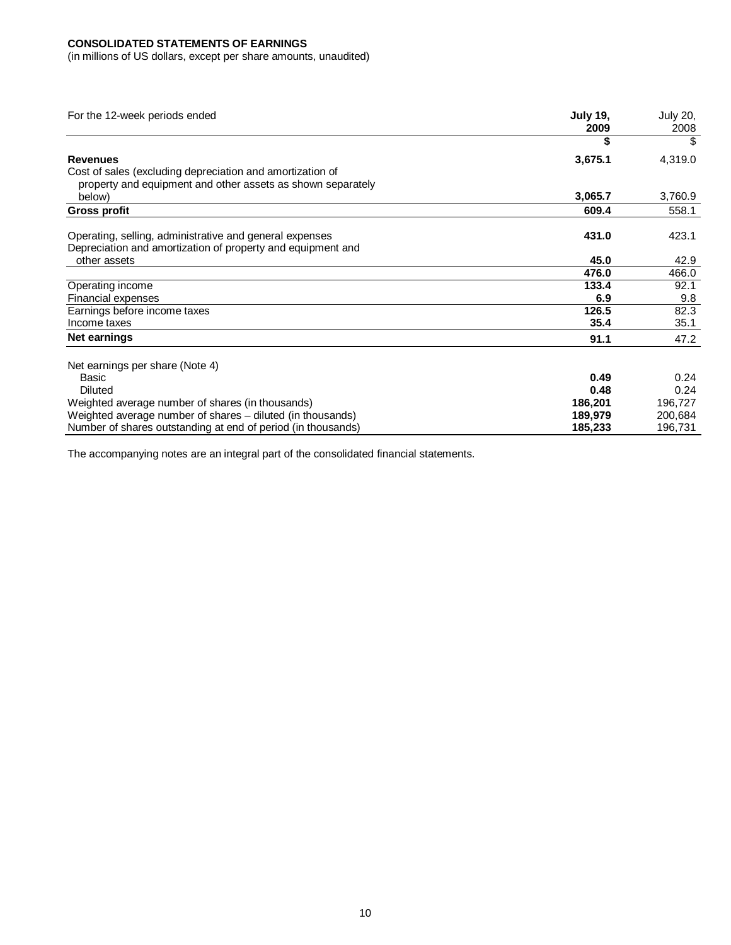### **CONSOLIDATED STATEMENTS OF EARNINGS**

(in millions of US dollars, except per share amounts, unaudited)

| For the 12-week periods ended                                | <b>July 19,</b><br>2009 | <b>July 20,</b><br>2008 |
|--------------------------------------------------------------|-------------------------|-------------------------|
|                                                              |                         |                         |
| <b>Revenues</b>                                              | 3,675.1                 | 4,319.0                 |
| Cost of sales (excluding depreciation and amortization of    |                         |                         |
| property and equipment and other assets as shown separately  |                         |                         |
| below)                                                       | 3,065.7                 | 3,760.9                 |
| <b>Gross profit</b>                                          | 609.4                   | 558.1                   |
| Operating, selling, administrative and general expenses      | 431.0                   | 423.1                   |
| Depreciation and amortization of property and equipment and  |                         |                         |
| other assets                                                 | 45.0                    | 42.9                    |
|                                                              | 476.0                   | 466.0                   |
| Operating income                                             | 133.4                   | 92.1                    |
| Financial expenses                                           | 6.9                     | 9.8                     |
| Earnings before income taxes                                 | 126.5                   | 82.3                    |
| Income taxes                                                 | 35.4                    | 35.1                    |
| Net earnings                                                 | 91.1                    | 47.2                    |
| Net earnings per share (Note 4)                              |                         |                         |
| Basic                                                        | 0.49                    | 0.24                    |
| Diluted                                                      | 0.48                    | 0.24                    |
| Weighted average number of shares (in thousands)             | 186,201                 | 196,727                 |
| Weighted average number of shares - diluted (in thousands)   | 189,979                 | 200,684                 |
| Number of shares outstanding at end of period (in thousands) | 185,233                 | 196,731                 |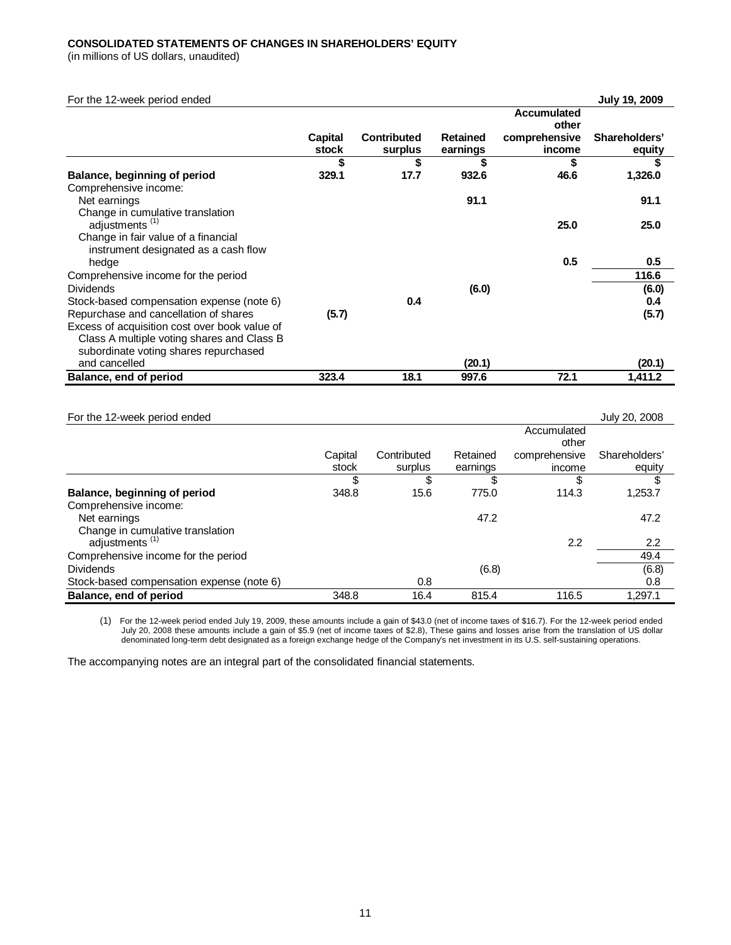### **CONSOLIDATED STATEMENTS OF CHANGES IN SHAREHOLDERS' EQUITY**

(in millions of US dollars, unaudited)

| For the 12-week period ended                  |         |                    |                 |                    | <b>July 19, 2009</b> |
|-----------------------------------------------|---------|--------------------|-----------------|--------------------|----------------------|
|                                               |         |                    |                 | <b>Accumulated</b> |                      |
|                                               |         |                    |                 | other              |                      |
|                                               | Capital | <b>Contributed</b> | <b>Retained</b> | comprehensive      | Shareholders'        |
|                                               | stock   | surplus            | earnings        | income             | equity               |
|                                               | \$      | \$                 | S               | \$                 | \$                   |
| Balance, beginning of period                  | 329.1   | 17.7               | 932.6           | 46.6               | 1,326.0              |
| Comprehensive income:                         |         |                    |                 |                    |                      |
| Net earnings                                  |         |                    | 91.1            |                    | 91.1                 |
| Change in cumulative translation              |         |                    |                 |                    |                      |
| adjustments <sup>(1)</sup>                    |         |                    |                 | 25.0               | 25.0                 |
| Change in fair value of a financial           |         |                    |                 |                    |                      |
| instrument designated as a cash flow          |         |                    |                 |                    |                      |
| hedge                                         |         |                    |                 | 0.5                | 0.5                  |
| Comprehensive income for the period           |         |                    |                 |                    | 116.6                |
| <b>Dividends</b>                              |         |                    | (6.0)           |                    | (6.0)                |
| Stock-based compensation expense (note 6)     |         | 0.4                |                 |                    | 0.4                  |
| Repurchase and cancellation of shares         | (5.7)   |                    |                 |                    | (5.7)                |
| Excess of acquisition cost over book value of |         |                    |                 |                    |                      |
| Class A multiple voting shares and Class B    |         |                    |                 |                    |                      |
| subordinate voting shares repurchased         |         |                    |                 |                    |                      |
| and cancelled                                 |         |                    | (20.1)          |                    | (20.1)               |
| Balance, end of period                        | 323.4   | 18.1               | 997.6           | 72.1               | 1,411.2              |
|                                               |         |                    |                 |                    |                      |

| For the 12-week period ended              |         |             |          |               | July 20, 2008 |
|-------------------------------------------|---------|-------------|----------|---------------|---------------|
|                                           |         |             |          | Accumulated   |               |
|                                           |         |             |          | other         |               |
|                                           | Capital | Contributed | Retained | comprehensive | Shareholders' |
|                                           | stock   | surplus     | earnings | income        | equity        |
|                                           |         | S           |          |               | \$            |
| Balance, beginning of period              | 348.8   | 15.6        | 775.0    | 114.3         | 1,253.7       |
| Comprehensive income:                     |         |             |          |               |               |
| Net earnings                              |         |             | 47.2     |               | 47.2          |
| Change in cumulative translation          |         |             |          |               |               |
| adjustments <sup>(1)</sup>                |         |             |          | 2.2           | 2.2           |
| Comprehensive income for the period       |         |             |          |               | 49.4          |
| <b>Dividends</b>                          |         |             | (6.8)    |               | (6.8)         |
| Stock-based compensation expense (note 6) |         | 0.8         |          |               | 0.8           |
| Balance, end of period                    | 348.8   | 16.4        | 815.4    | 116.5         | 1.297.1       |

(1) For the 12-week period ended July 19, 2009, these amounts include a gain of \$43.0 (net of income taxes of \$16.7). For the 12-week period ended July 20, 2008 these amounts include a gain of \$5.9 (net of income taxes of \$2.8), These gains and losses arise from the translation of US dollar<br>denominated long-term debt designated as a foreign exchange hedge of the Comp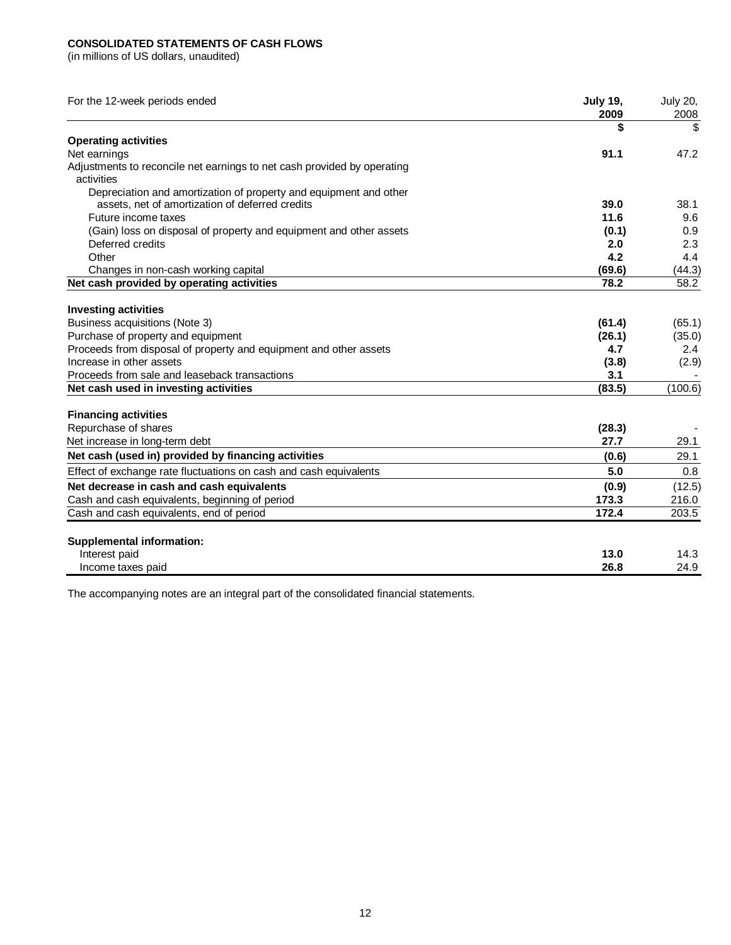## **CONSOLIDATED STATEMENTS OF CASH FLOWS**

(in millions of US dollars, unaudited)

| For the 12-week periods ended                                           | <b>July 19,</b><br>2009 | <b>July 20,</b><br>2008 |
|-------------------------------------------------------------------------|-------------------------|-------------------------|
|                                                                         | \$                      | S                       |
| <b>Operating activities</b>                                             |                         |                         |
| Net earnings                                                            | 91.1                    | 47.2                    |
| Adjustments to reconcile net earnings to net cash provided by operating |                         |                         |
| activities                                                              |                         |                         |
| Depreciation and amortization of property and equipment and other       |                         |                         |
| assets, net of amortization of deferred credits                         | 39.0                    | 38.1                    |
| Future income taxes                                                     | 11.6                    | 9.6                     |
| (Gain) loss on disposal of property and equipment and other assets      | (0.1)                   | 0.9                     |
| Deferred credits                                                        | 2.0                     | 2.3                     |
| Other                                                                   | 4.2                     | 4.4                     |
| Changes in non-cash working capital                                     | (69.6)                  | (44.3)                  |
| Net cash provided by operating activities                               | 78.2                    | 58.2                    |
| <b>Investing activities</b>                                             |                         |                         |
| Business acquisitions (Note 3)                                          | (61.4)                  | (65.1)                  |
| Purchase of property and equipment                                      | (26.1)                  | (35.0)                  |
| Proceeds from disposal of property and equipment and other assets       | 4.7                     | 2.4                     |
| Increase in other assets                                                | (3.8)                   | (2.9)                   |
| Proceeds from sale and leaseback transactions                           | 3.1                     |                         |
| Net cash used in investing activities                                   | (83.5)                  | (100.6)                 |
|                                                                         |                         |                         |
| <b>Financing activities</b><br>Repurchase of shares                     | (28.3)                  |                         |
| Net increase in long-term debt                                          | 27.7                    | 29.1                    |
|                                                                         |                         |                         |
| Net cash (used in) provided by financing activities                     | (0.6)                   | 29.1                    |
| Effect of exchange rate fluctuations on cash and cash equivalents       | 5.0                     | 0.8                     |
| Net decrease in cash and cash equivalents                               | (0.9)                   | (12.5)                  |
| Cash and cash equivalents, beginning of period                          | 173.3                   | 216.0                   |
| Cash and cash equivalents, end of period                                | 172.4                   | 203.5                   |
| <b>Supplemental information:</b>                                        |                         |                         |
| Interest paid                                                           | 13.0                    | 14.3                    |
| Income taxes paid                                                       | 26.8                    | 24.9                    |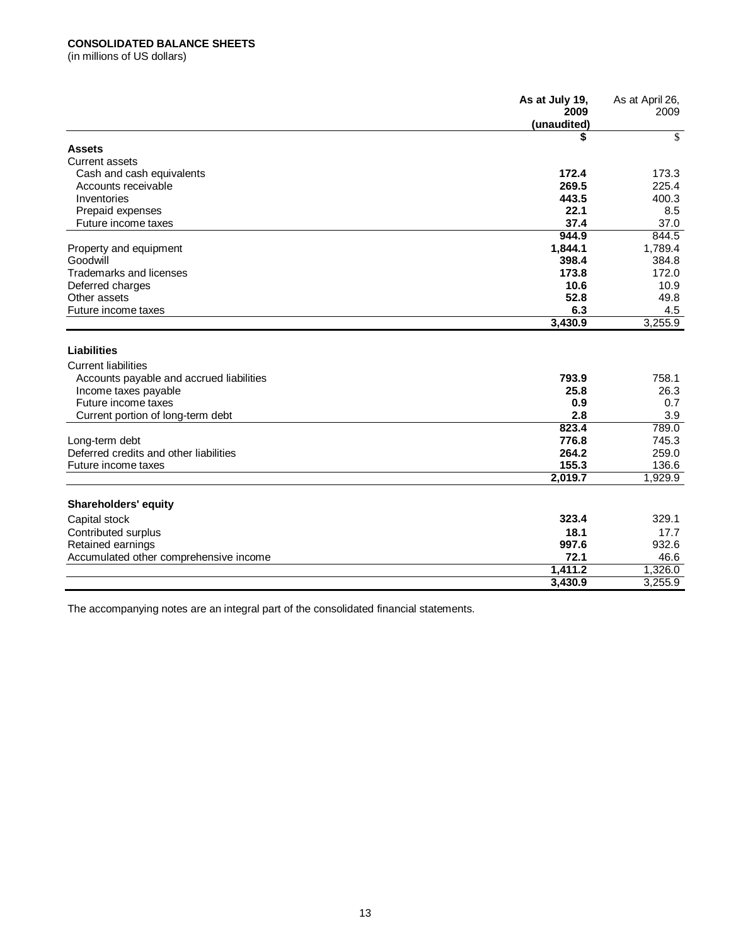### **CONSOLIDATED BALANCE SHEETS**

(in millions of US dollars)

|                                           | As at July 19,<br>2009<br>(unaudited) | As at April 26,<br>2009 |
|-------------------------------------------|---------------------------------------|-------------------------|
|                                           | S                                     | \$                      |
| <b>Assets</b>                             |                                       |                         |
| <b>Current assets</b>                     |                                       |                         |
| Cash and cash equivalents                 | 172.4                                 | 173.3                   |
| Accounts receivable                       | 269.5                                 | 225.4                   |
| Inventories                               | 443.5                                 | 400.3                   |
| Prepaid expenses                          | 22.1                                  | 8.5                     |
| Future income taxes                       | 37.4                                  | 37.0                    |
|                                           | 944.9                                 | 844.5                   |
| Property and equipment                    | 1,844.1                               | 1,789.4                 |
| Goodwill                                  | 398.4                                 | 384.8                   |
| Trademarks and licenses                   | 173.8                                 | 172.0                   |
| Deferred charges                          | 10.6                                  | 10.9                    |
| Other assets                              | 52.8                                  | 49.8                    |
| Future income taxes                       | 6.3                                   | 4.5                     |
|                                           | 3,430.9                               | 3,255.9                 |
| Liabilities<br><b>Current liabilities</b> |                                       |                         |
| Accounts payable and accrued liabilities  | 793.9                                 | 758.1                   |
| Income taxes payable                      | 25.8                                  | 26.3                    |
| Future income taxes                       | 0.9                                   | 0.7                     |
| Current portion of long-term debt         | 2.8                                   | 3.9                     |
|                                           | 823.4                                 | 789.0                   |
| Long-term debt                            | 776.8                                 | 745.3                   |
| Deferred credits and other liabilities    | 264.2                                 | 259.0                   |
| Future income taxes                       | 155.3                                 | 136.6                   |
|                                           | 2,019.7                               | 1,929.9                 |
| Shareholders' equity                      |                                       |                         |
| Capital stock                             | 323.4                                 | 329.1                   |
| Contributed surplus                       | 18.1                                  | 17.7                    |
| Retained earnings                         | 997.6                                 | 932.6                   |
| Accumulated other comprehensive income    | 72.1                                  | 46.6                    |
|                                           | 1,411.2                               | 1,326.0                 |
|                                           | 3,430.9                               | 3,255.9                 |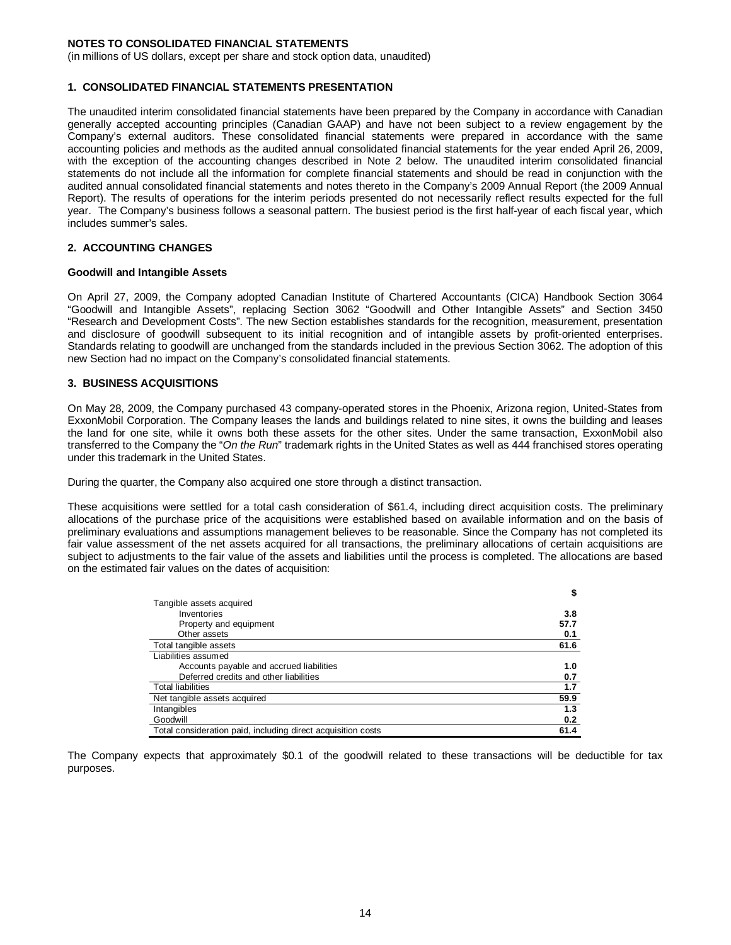(in millions of US dollars, except per share and stock option data, unaudited)

#### **1. CONSOLIDATED FINANCIAL STATEMENTS PRESENTATION**

The unaudited interim consolidated financial statements have been prepared by the Company in accordance with Canadian generally accepted accounting principles (Canadian GAAP) and have not been subject to a review engagement by the Company's external auditors. These consolidated financial statements were prepared in accordance with the same accounting policies and methods as the audited annual consolidated financial statements for the year ended April 26, 2009, with the exception of the accounting changes described in Note 2 below. The unaudited interim consolidated financial statements do not include all the information for complete financial statements and should be read in conjunction with the audited annual consolidated financial statements and notes thereto in the Company's 2009 Annual Report (the 2009 Annual Report). The results of operations for the interim periods presented do not necessarily reflect results expected for the full year. The Company's business follows a seasonal pattern. The busiest period is the first half-year of each fiscal year, which includes summer's sales.

#### **2. ACCOUNTING CHANGES**

#### **Goodwill and Intangible Assets**

On April 27, 2009, the Company adopted Canadian Institute of Chartered Accountants (CICA) Handbook Section 3064 "Goodwill and Intangible Assets", replacing Section 3062 "Goodwill and Other Intangible Assets" and Section 3450 "Research and Development Costs". The new Section establishes standards for the recognition, measurement, presentation and disclosure of goodwill subsequent to its initial recognition and of intangible assets by profit-oriented enterprises. Standards relating to goodwill are unchanged from the standards included in the previous Section 3062. The adoption of this new Section had no impact on the Company's consolidated financial statements.

#### **3. BUSINESS ACQUISITIONS**

On May 28, 2009, the Company purchased 43 company-operated stores in the Phoenix, Arizona region, United-States from ExxonMobil Corporation. The Company leases the lands and buildings related to nine sites, it owns the building and leases the land for one site, while it owns both these assets for the other sites. Under the same transaction, ExxonMobil also transferred to the Company the "*On the Run*" trademark rights in the United States as well as 444 franchised stores operating under this trademark in the United States.

During the quarter, the Company also acquired one store through a distinct transaction.

These acquisitions were settled for a total cash consideration of \$61.4, including direct acquisition costs. The preliminary allocations of the purchase price of the acquisitions were established based on available information and on the basis of preliminary evaluations and assumptions management believes to be reasonable. Since the Company has not completed its fair value assessment of the net assets acquired for all transactions, the preliminary allocations of certain acquisitions are subject to adjustments to the fair value of the assets and liabilities until the process is completed. The allocations are based on the estimated fair values on the dates of acquisition:

|                                                              | \$   |
|--------------------------------------------------------------|------|
| Tangible assets acquired                                     |      |
| Inventories                                                  | 3.8  |
| Property and equipment                                       | 57.7 |
| Other assets                                                 | 0.1  |
| Total tangible assets                                        | 61.6 |
| Liabilities assumed                                          |      |
| Accounts payable and accrued liabilities                     | 1.0  |
| Deferred credits and other liabilities                       | 0.7  |
| <b>Total liabilities</b>                                     | 1.7  |
| Net tangible assets acquired                                 | 59.9 |
| Intangibles                                                  | 1.3  |
| Goodwill                                                     | 0.2  |
| Total consideration paid, including direct acquisition costs | 61.4 |

The Company expects that approximately \$0.1 of the goodwill related to these transactions will be deductible for tax purposes.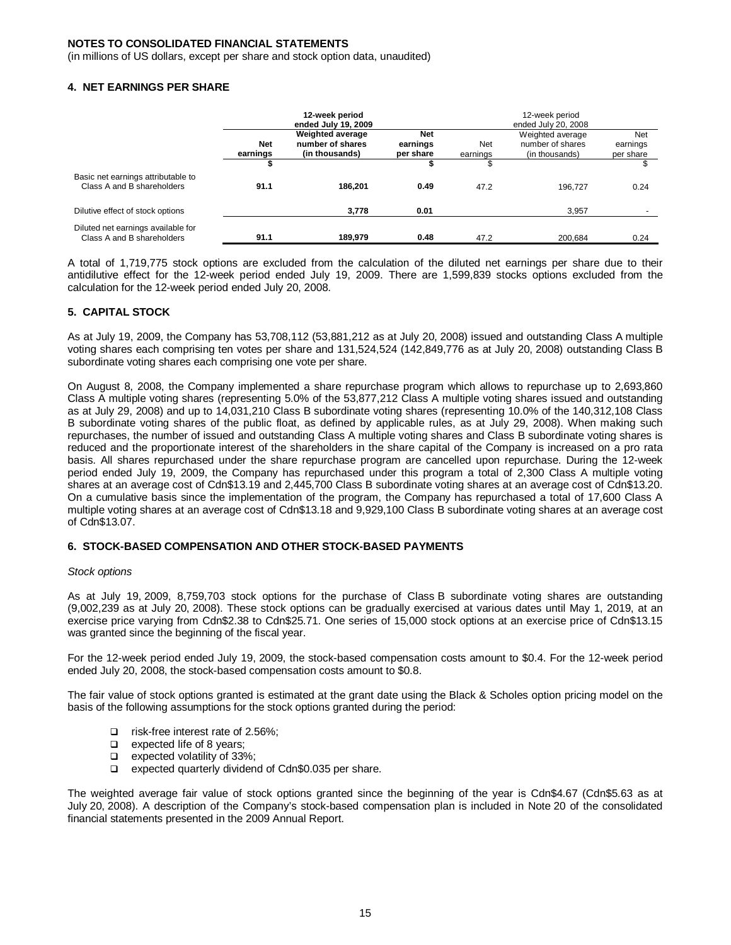(in millions of US dollars, except per share and stock option data, unaudited)

#### **4. NET EARNINGS PER SHARE**

|                                                                  | 12-week period<br>ended July 19, 2009 |                                                               |                                     | 12-week period<br>ended July 20, 2008 |                                                        |                              |  |
|------------------------------------------------------------------|---------------------------------------|---------------------------------------------------------------|-------------------------------------|---------------------------------------|--------------------------------------------------------|------------------------------|--|
|                                                                  | <b>Net</b><br>earnings                | <b>Weighted average</b><br>number of shares<br>(in thousands) | <b>Net</b><br>earnings<br>per share | Net<br>earnings                       | Weighted average<br>number of shares<br>(in thousands) | Net<br>earnings<br>per share |  |
|                                                                  |                                       |                                                               |                                     |                                       |                                                        |                              |  |
| Basic net earnings attributable to<br>Class A and B shareholders | 91.1                                  | 186.201                                                       | 0.49                                | 47.2                                  | 196.727                                                | 0.24                         |  |
| Dilutive effect of stock options                                 |                                       | 3,778                                                         | 0.01                                |                                       | 3.957                                                  |                              |  |
| Diluted net earnings available for<br>Class A and B shareholders | 91.1                                  | 189,979                                                       | 0.48                                | 47.2                                  | 200.684                                                | 0.24                         |  |

A total of 1,719,775 stock options are excluded from the calculation of the diluted net earnings per share due to their antidilutive effect for the 12-week period ended July 19, 2009. There are 1,599,839 stocks options excluded from the calculation for the 12-week period ended July 20, 2008.

#### **5. CAPITAL STOCK**

As at July 19, 2009, the Company has 53,708,112 (53,881,212 as at July 20, 2008) issued and outstanding Class A multiple voting shares each comprising ten votes per share and 131,524,524 (142,849,776 as at July 20, 2008) outstanding Class B subordinate voting shares each comprising one vote per share.

On August 8, 2008, the Company implemented a share repurchase program which allows to repurchase up to 2,693,860 Class A multiple voting shares (representing 5.0% of the 53,877,212 Class A multiple voting shares issued and outstanding as at July 29, 2008) and up to 14,031,210 Class B subordinate voting shares (representing 10.0% of the 140,312,108 Class B subordinate voting shares of the public float, as defined by applicable rules, as at July 29, 2008). When making such repurchases, the number of issued and outstanding Class A multiple voting shares and Class B subordinate voting shares is reduced and the proportionate interest of the shareholders in the share capital of the Company is increased on a pro rata basis. All shares repurchased under the share repurchase program are cancelled upon repurchase. During the 12-week period ended July 19, 2009, the Company has repurchased under this program a total of 2,300 Class A multiple voting shares at an average cost of Cdn\$13.19 and 2,445,700 Class B subordinate voting shares at an average cost of Cdn\$13.20. On a cumulative basis since the implementation of the program, the Company has repurchased a total of 17,600 Class A multiple voting shares at an average cost of Cdn\$13.18 and 9,929,100 Class B subordinate voting shares at an average cost of Cdn\$13.07.

### **6. STOCK-BASED COMPENSATION AND OTHER STOCK-BASED PAYMENTS**

#### *Stock options*

As at July 19, 2009, 8,759,703 stock options for the purchase of Class B subordinate voting shares are outstanding (9,002,239 as at July 20, 2008). These stock options can be gradually exercised at various dates until May 1, 2019, at an exercise price varying from Cdn\$2.38 to Cdn\$25.71. One series of 15,000 stock options at an exercise price of Cdn\$13.15 was granted since the beginning of the fiscal year.

For the 12-week period ended July 19, 2009, the stock-based compensation costs amount to \$0.4. For the 12-week period ended July 20, 2008, the stock-based compensation costs amount to \$0.8.

The fair value of stock options granted is estimated at the grant date using the Black & Scholes option pricing model on the basis of the following assumptions for the stock options granted during the period:

- □ risk-free interest rate of 2.56%;
- **a** expected life of 8 years;
- expected volatility of 33%;
- □ expected quarterly dividend of Cdn\$0.035 per share.

The weighted average fair value of stock options granted since the beginning of the year is Cdn\$4.67 (Cdn\$5.63 as at July 20, 2008). A description of the Company's stock-based compensation plan is included in Note 20 of the consolidated financial statements presented in the 2009 Annual Report.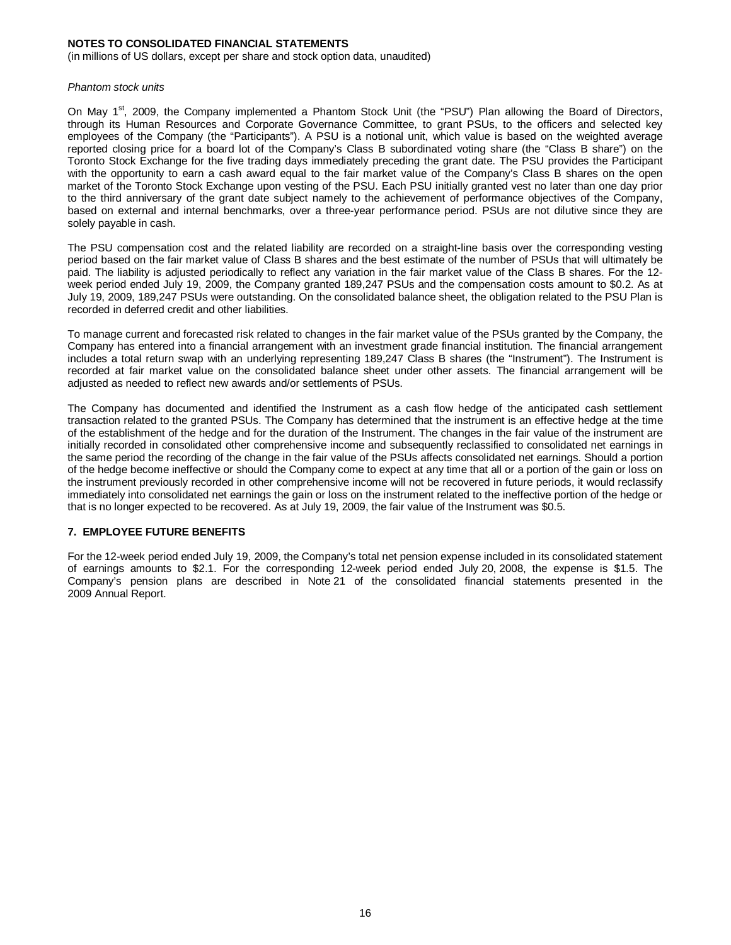(in millions of US dollars, except per share and stock option data, unaudited)

#### *Phantom stock units*

On May 1<sup>st</sup>, 2009, the Company implemented a Phantom Stock Unit (the "PSU") Plan allowing the Board of Directors, through its Human Resources and Corporate Governance Committee, to grant PSUs, to the officers and selected key employees of the Company (the "Participants"). A PSU is a notional unit, which value is based on the weighted average reported closing price for a board lot of the Company's Class B subordinated voting share (the "Class B share") on the Toronto Stock Exchange for the five trading days immediately preceding the grant date. The PSU provides the Participant with the opportunity to earn a cash award equal to the fair market value of the Company's Class B shares on the open market of the Toronto Stock Exchange upon vesting of the PSU. Each PSU initially granted vest no later than one day prior to the third anniversary of the grant date subject namely to the achievement of performance objectives of the Company, based on external and internal benchmarks, over a three-year performance period. PSUs are not dilutive since they are solely payable in cash.

The PSU compensation cost and the related liability are recorded on a straight-line basis over the corresponding vesting period based on the fair market value of Class B shares and the best estimate of the number of PSUs that will ultimately be paid. The liability is adjusted periodically to reflect any variation in the fair market value of the Class B shares. For the 12 week period ended July 19, 2009, the Company granted 189,247 PSUs and the compensation costs amount to \$0.2. As at July 19, 2009, 189,247 PSUs were outstanding. On the consolidated balance sheet, the obligation related to the PSU Plan is recorded in deferred credit and other liabilities.

To manage current and forecasted risk related to changes in the fair market value of the PSUs granted by the Company, the Company has entered into a financial arrangement with an investment grade financial institution. The financial arrangement includes a total return swap with an underlying representing 189,247 Class B shares (the "Instrument"). The Instrument is recorded at fair market value on the consolidated balance sheet under other assets. The financial arrangement will be adjusted as needed to reflect new awards and/or settlements of PSUs.

The Company has documented and identified the Instrument as a cash flow hedge of the anticipated cash settlement transaction related to the granted PSUs. The Company has determined that the instrument is an effective hedge at the time of the establishment of the hedge and for the duration of the Instrument. The changes in the fair value of the instrument are initially recorded in consolidated other comprehensive income and subsequently reclassified to consolidated net earnings in the same period the recording of the change in the fair value of the PSUs affects consolidated net earnings. Should a portion of the hedge become ineffective or should the Company come to expect at any time that all or a portion of the gain or loss on the instrument previously recorded in other comprehensive income will not be recovered in future periods, it would reclassify immediately into consolidated net earnings the gain or loss on the instrument related to the ineffective portion of the hedge or that is no longer expected to be recovered. As at July 19, 2009, the fair value of the Instrument was \$0.5.

#### **7. EMPLOYEE FUTURE BENEFITS**

For the 12-week period ended July 19, 2009, the Company's total net pension expense included in its consolidated statement of earnings amounts to \$2.1. For the corresponding 12-week period ended July 20, 2008, the expense is \$1.5. The Company's pension plans are described in Note 21 of the consolidated financial statements presented in the 2009 Annual Report.